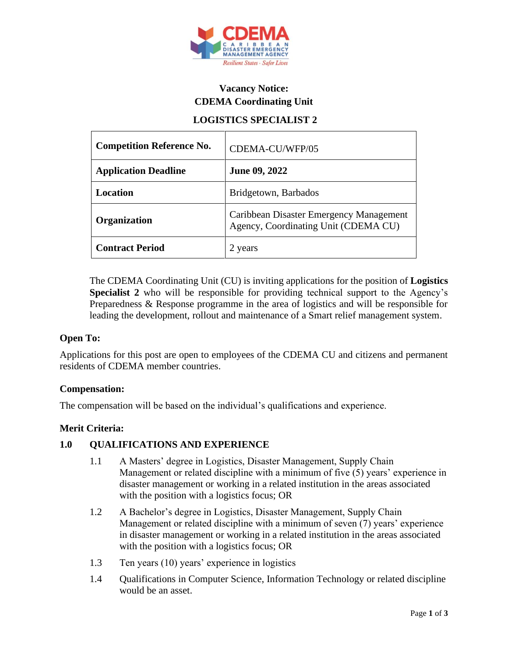

# **Vacancy Notice: CDEMA Coordinating Unit**

## **LOGISTICS SPECIALIST 2**

| <b>Competition Reference No.</b> | CDEMA-CU/WFP/05                                                                 |
|----------------------------------|---------------------------------------------------------------------------------|
| <b>Application Deadline</b>      | June 09, 2022                                                                   |
| <b>Location</b>                  | Bridgetown, Barbados                                                            |
| Organization                     | Caribbean Disaster Emergency Management<br>Agency, Coordinating Unit (CDEMA CU) |
| <b>Contract Period</b>           | 2 years                                                                         |

The CDEMA Coordinating Unit (CU) is inviting applications for the position of **Logistics Specialist 2** who will be responsible for providing technical support to the Agency's Preparedness & Response programme in the area of logistics and will be responsible for leading the development, rollout and maintenance of a Smart relief management system.

### **Open To:**

Applications for this post are open to employees of the CDEMA CU and citizens and permanent residents of CDEMA member countries.

### **Compensation:**

The compensation will be based on the individual's qualifications and experience.

### **Merit Criteria:**

### **1.0 QUALIFICATIONS AND EXPERIENCE**

- 1.1 A Masters' degree in Logistics, Disaster Management, Supply Chain Management or related discipline with a minimum of five (5) years' experience in disaster management or working in a related institution in the areas associated with the position with a logistics focus; OR
- 1.2 A Bachelor's degree in Logistics, Disaster Management, Supply Chain Management or related discipline with a minimum of seven (7) years' experience in disaster management or working in a related institution in the areas associated with the position with a logistics focus; OR
- 1.3 Ten years (10) years' experience in logistics
- 1.4 Qualifications in Computer Science, Information Technology or related discipline would be an asset.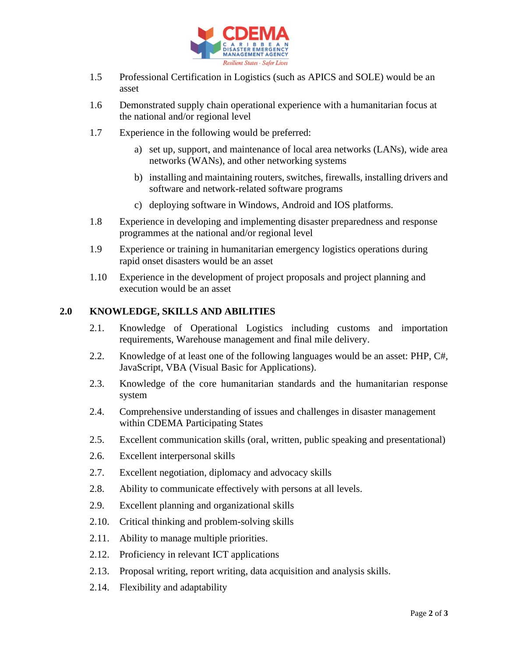

- 1.5 Professional Certification in Logistics (such as APICS and SOLE) would be an asset
- 1.6 Demonstrated supply chain operational experience with a humanitarian focus at the national and/or regional level
- 1.7 Experience in the following would be preferred:
	- a) set up, support, and maintenance of local area networks (LANs), wide area networks (WANs), and other networking systems
	- b) installing and maintaining routers, switches, firewalls, installing drivers and software and network-related software programs
	- c) deploying software in Windows, Android and IOS platforms.
- 1.8 Experience in developing and implementing disaster preparedness and response programmes at the national and/or regional level
- 1.9 Experience or training in humanitarian emergency logistics operations during rapid onset disasters would be an asset
- 1.10 Experience in the development of project proposals and project planning and execution would be an asset

### **2.0 KNOWLEDGE, SKILLS AND ABILITIES**

- 2.1. Knowledge of Operational Logistics including customs and importation requirements, Warehouse management and final mile delivery.
- 2.2. Knowledge of at least one of the following languages would be an asset: PHP, C#, JavaScript, VBA (Visual Basic for Applications).
- 2.3. Knowledge of the core humanitarian standards and the humanitarian response system
- 2.4. Comprehensive understanding of issues and challenges in disaster management within CDEMA Participating States
- 2.5. Excellent communication skills (oral, written, public speaking and presentational)
- 2.6. Excellent interpersonal skills
- 2.7. Excellent negotiation, diplomacy and advocacy skills
- 2.8. Ability to communicate effectively with persons at all levels.
- 2.9. Excellent planning and organizational skills
- 2.10. Critical thinking and problem-solving skills
- 2.11. Ability to manage multiple priorities.
- 2.12. Proficiency in relevant ICT applications
- 2.13. Proposal writing, report writing, data acquisition and analysis skills.
- 2.14. Flexibility and adaptability